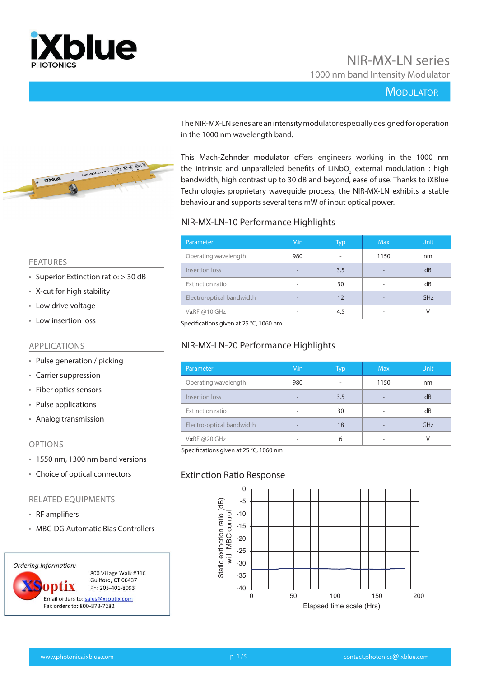

# NIR-MX-LN series 1000 nm band Intensity Modulator

### **MODULATOR**



The NIR-MX-LN series are an intensity modulator especially designed for operation in the 1000 nm wavelength band.

This Mach-Zehnder modulator offers engineers working in the 1000 nm the intrinsic and unparalleled benefits of LiNbO<sub>3</sub> external modulation : high bandwidth, high contrast up to 30 dB and beyond, ease of use. Thanks to iXBlue Technologies proprietary waveguide process, the NIR-MX-LN exhibits a stable behaviour and supports several tens mW of input optical power.

#### NIR-MX-LN-10 Performance Highlights

| Parameter                 | <b>Min</b>               | <b>Typ</b> | <b>Max</b> | <b>Unit</b> |
|---------------------------|--------------------------|------------|------------|-------------|
| Operating wavelength      | 980                      |            | 1150       | nm          |
| Insertion loss            |                          | 3.5        |            | dB          |
| Extinction ratio          | $\overline{\phantom{0}}$ | 30         |            | dB          |
| Electro-optical bandwidth | -                        | 12         |            | GHz         |
| $V\pi RF \omega 10 GHz$   |                          | 4.5        |            | ٧           |

Specifications given at 25 °C, 1060 nm

# NIR-MX-LN-20 Performance Highlights

| Parameter                 | Min | Typ | <b>Max</b> | <b>Unit</b> |
|---------------------------|-----|-----|------------|-------------|
| Operating wavelength      | 980 | ۰   | 1150       | nm          |
| Insertion loss            | -   | 3.5 | -          | dB          |
| Extinction ratio          | -   | 30  | ۰          | dB          |
| Electro-optical bandwidth |     | 18  |            | GHz         |
| $V\pi R$ F @20 GHz        | -   | 6   | ۰          | V           |

Specifications given at 25 °C, 1060 nm

#### Extinction Ratio Response



#### FEATURES

- Superior Extinction ratio: > 30 dB
- X-cut for high stability
- Low drive voltage
- Low insertion loss

#### APPLICATIONS

- Pulse generation / picking
- Carrier suppression
- Fiber optics sensors
- Pulse applications
- Analog transmission

#### OPTIONS

- 1550 nm, 1300 nm band versions
- Choice of optical connectors

#### RELATED EQUIPMENTS

- RF amplifiers
- MBC-DG Automatic Bias Controllers

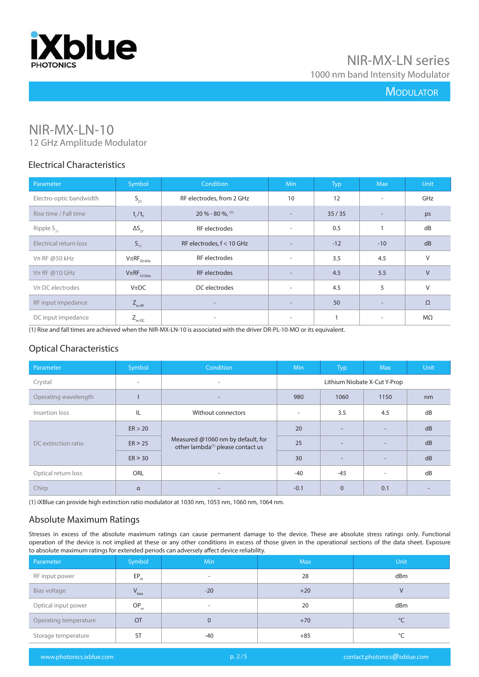

# **MODULATOR**

# NIR-MX-LN-10

12 GHz Amplitude Modulator

## Electrical Characteristics

| Parameter               | Symbol                      | <b>Condition</b>          | <b>Min</b>               | <b>Typ</b> | <b>Max</b>               | <b>Unit</b> |
|-------------------------|-----------------------------|---------------------------|--------------------------|------------|--------------------------|-------------|
| Electro-optic bandwidth | $S_{21}$                    | RF electrodes, from 2 GHz | 10                       | 12         | $\sim$                   | GHz         |
| Rise time / Fall time   | $t_{r}/t_{f}$               | $20 \% - 80 \%$ , (1)     | $\overline{\phantom{a}}$ | 35/35      | $\overline{\phantom{0}}$ | ps          |
| Ripple $S_{21}$         | $\Delta S_{21}$             | RF electrodes             | $\overline{\phantom{a}}$ | 0.5        |                          | dB          |
| Electrical return loss  | $S_{11}$                    | RF electrodes, f < 10 GHz | $\overline{\phantom{a}}$ | $-12$      | $-10$                    | dB          |
| $Vπ$ RF @50 kHz         | $V\pi RF_{50\,kHz}$         | RF electrodes             | $\sim$                   | 3.5        | 4.5                      | V           |
| $Vπ$ RF @10 GHz         | $V\pi RF$ <sub>10 GHz</sub> | <b>RF</b> electrodes      | $\overline{a}$           | 4.5        | 5.5                      | $\vee$      |
| $V\pi$ DC electrodes    | $V_{\pi}DC$                 | DC electrodes             | $\overline{\phantom{a}}$ | 4.5        | 5                        | $\vee$      |
| RF input impedance      | $Z_{\text{in-RF}}$          | $\overline{\phantom{0}}$  | $\overline{\phantom{a}}$ | 50         | $\overline{\phantom{a}}$ | $\Omega$    |
| DC input impedance      | $Z_{\text{in-DC}}$          | $\overline{\phantom{a}}$  | $\sim$                   |            | ۰.                       | $M\Omega$   |

(1) Rise and fall times are achieved when the NIR-MX-LN-10 is associated with the driver DR-PL-10-MO or its equivalent.

# Optical Characteristics

| Parameter            | Symbol                   | Condition                                                                          | <b>Min</b>                   | <b>Typ</b>               | <b>Max</b>               | Unit |
|----------------------|--------------------------|------------------------------------------------------------------------------------|------------------------------|--------------------------|--------------------------|------|
| Crystal              | $\overline{\phantom{a}}$ | $\overline{\phantom{a}}$                                                           | Lithium Niobate X-Cut Y-Prop |                          |                          |      |
| Operating wavelength |                          | $\overline{\phantom{a}}$                                                           | 980                          | 1060                     | 1150                     | nm   |
| Insertion loss       | IL                       | Without connectors                                                                 |                              | 3.5                      | 4.5                      | dB   |
| DC extinction ratio  | ER > 20                  | Measured @1060 nm by default, for<br>other lambda <sup>(1)</sup> please contact us | 20                           | $\overline{\phantom{a}}$ | $\overline{\phantom{a}}$ | dB   |
|                      | ER > 25                  |                                                                                    | 25                           | $\overline{\phantom{a}}$ | $\overline{\phantom{a}}$ | dB   |
|                      | ER > 30                  |                                                                                    | 30                           | $\overline{\phantom{a}}$ | $\overline{\phantom{a}}$ | dB   |
| Optical return loss  | <b>ORL</b>               | $\overline{\phantom{a}}$                                                           | -40                          | $-45$                    | ۰                        | dB   |
| Chirp                | $\alpha$                 | $\overline{\phantom{0}}$                                                           | $-0.1$                       | $\mathbf{0}$             | 0.1                      |      |

(1) iXBlue can provide high extinction ratio modulator at 1030 nm, 1053 nm, 1060 nm, 1064 nm.

# Absolute Maximum Ratings

Stresses in excess of the absolute maximum ratings can cause permanent damage to the device. These are absolute stress ratings only. Functional operation of the device is not implied at these or any other conditions in excess of those given in the operational sections of the data sheet. Exposure to absolute maximum ratings for extended periods can adversely affect device reliability.

| Parameter             | Symbol     | Min   | <b>Max</b> | Unit         |
|-----------------------|------------|-------|------------|--------------|
| RF input power        | $EP_{in}$  | -     | 28         | dBm          |
| Bias voltage          | $V_{bias}$ | $-20$ | $+20$      | V            |
| Optical input power   | $OP_{in}$  | ۰     | 20         | dBm          |
| Operating temperature | <b>OT</b>  | 0     | $+70$      | $^{\circ}$ C |
| Storage temperature   | ST         | -40   | $+85$      | °C           |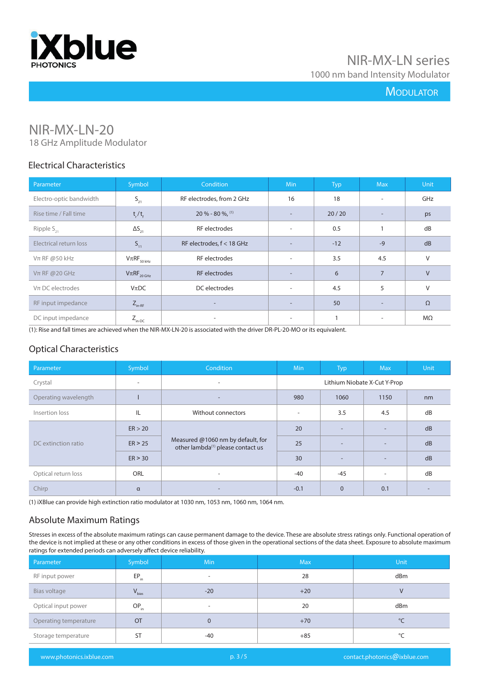

# **MODULATOR**

# NIR-MX-LN-20

18 GHz Amplitude Modulator

#### Electrical Characteristics

| Parameter               | Symbol                      | Condition                 | Min                      | <b>Typ</b> | <b>Max</b>               | Unit      |
|-------------------------|-----------------------------|---------------------------|--------------------------|------------|--------------------------|-----------|
| Electro-optic bandwidth | $S_{21}$                    | RF electrodes, from 2 GHz | 16                       | 18         | $\overline{\phantom{a}}$ | GHz       |
| Rise time / Fall time   | $t_{r}/t_{f}$               | $20 \% - 80 \%$ , (1)     | $\overline{\phantom{a}}$ | 20/20      | $\overline{\phantom{a}}$ | ps        |
| Ripple $S_{21}$         | $\Delta S_{21}$             | RF electrodes             | $\overline{\phantom{a}}$ | 0.5        |                          | dB        |
| Electrical return loss  | $S_{11}$                    | RF electrodes, f < 18 GHz | $\overline{\phantom{a}}$ | $-12$      | $-9$                     | dB        |
| $Vπ$ RF @50 kHz         | $V\pi RF_{50\,kHz}$         | RF electrodes             | $\sim$                   | 3.5        | 4.5                      | V         |
| $Vπ$ RF @ 20 GHz        | $V\pi RF$ <sub>20 GHz</sub> | <b>RF</b> electrodes      |                          | 6          | $\overline{7}$           | $\vee$    |
| $V\pi$ DC electrodes    | $V_{\pi}DC$                 | DC electrodes             | $\overline{\phantom{a}}$ | 4.5        | 5                        | $\vee$    |
| RF input impedance      | $Z_{_{\text{in-RF}}}$       | $\overline{\phantom{0}}$  | $\overline{\phantom{0}}$ | 50         | $\overline{\phantom{a}}$ | $\Omega$  |
| DC input impedance      | $Z_{\text{in-DC}}$          | ۰                         | $\overline{\phantom{a}}$ |            | $\overline{\phantom{a}}$ | $M\Omega$ |

(1): Rise and fall times are achieved when the NIR-MX-LN-20 is associated with the driver DR-PL-20-MO or its equivalent.

# Optical Characteristics

| Parameter            | Symbol                   | <b>Condition</b>                                                                   | <b>Min</b>                   | <b>Typ</b>               | <b>Max</b>               | <b>Unit</b> |
|----------------------|--------------------------|------------------------------------------------------------------------------------|------------------------------|--------------------------|--------------------------|-------------|
| Crystal              | $\overline{\phantom{a}}$ | $\overline{\phantom{a}}$                                                           | Lithium Niobate X-Cut Y-Prop |                          |                          |             |
| Operating wavelength |                          | $\overline{\phantom{0}}$                                                           | 980                          | 1060                     | 1150                     | nm          |
| Insertion loss       | IL                       | Without connectors                                                                 |                              | 3.5                      | 4.5                      | dB          |
| DC extinction ratio  | ER > 20                  | Measured @1060 nm by default, for<br>other lambda <sup>(1)</sup> please contact us | 20                           | $\overline{\phantom{a}}$ | $\overline{\phantom{a}}$ | dB          |
|                      | ER > 25                  |                                                                                    | 25                           | $\overline{a}$           | $\overline{\phantom{a}}$ | dB          |
|                      | ER > 30                  |                                                                                    | 30                           | $\overline{\phantom{a}}$ | -                        | dB          |
| Optical return loss  | <b>ORL</b>               | $\overline{\phantom{a}}$                                                           | -40                          | $-45$                    | $\overline{\phantom{a}}$ | dB          |
| Chirp                | $\alpha$                 | $\overline{\phantom{a}}$                                                           | $-0.1$                       | $\mathbf 0$              | 0.1                      |             |

(1) iXBlue can provide high extinction ratio modulator at 1030 nm, 1053 nm, 1060 nm, 1064 nm.

# Absolute Maximum Ratings

Stresses in excess of the absolute maximum ratings can cause permanent damage to the device. These are absolute stress ratings only. Functional operation of the device is not implied at these or any other conditions in excess of those given in the operational sections of the data sheet. Exposure to absolute maximum ratings for extended periods can adversely affect device reliability.

| Parameter             | Symbol     | <b>Min</b> | <b>Max</b> | <b>Unit</b>  |
|-----------------------|------------|------------|------------|--------------|
| RF input power        | $EP_{in}$  | ۰          | 28         | dBm          |
| Bias voltage          | $V_{bias}$ | $-20$      | $+20$      |              |
| Optical input power   | $OP_{in}$  | -          | 20         | dBm          |
| Operating temperature | <b>OT</b>  | 0          | $+70$      | $^{\circ}$ C |
| Storage temperature   | <b>ST</b>  | -40        | $+85$      | °C           |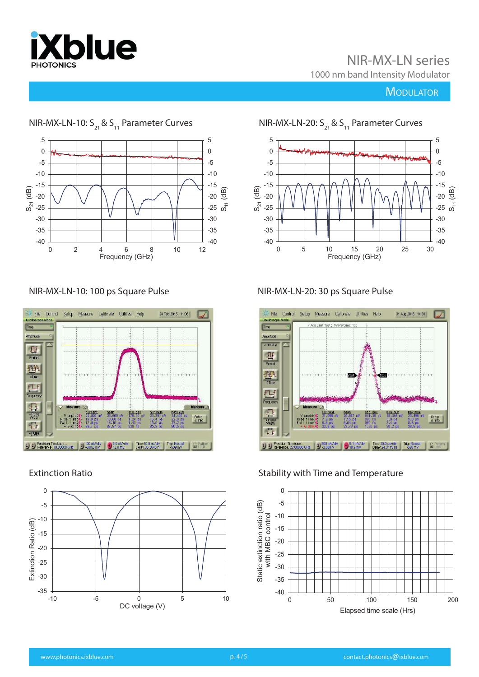

# NIR-MX-LN series

1000 nm band Intensity Modulator

# **MODULATOR**



#### NIR-MX-LN-10: 100 ps Square Pulse



#### Extinction Ratio



NIR-MX-LN-10:  $S_{21}$  &  $S_{11}$  Parameter Curves NIR-MX-LN-20:  $S_{21}$  &  $S_{11}$  Parameter Curves



### NIR-MX-LN-20: 30 ps Square Pulse



#### Stability with Time and Temperature